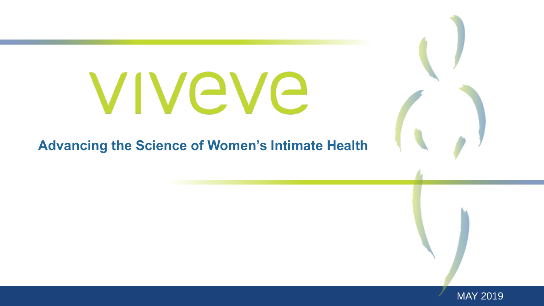## VIVeVe

**Advancing the Science of Women's Intimate Health**



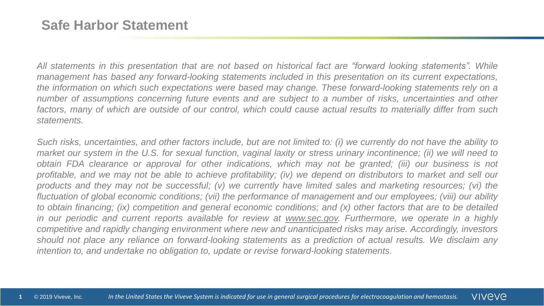#### **Safe Harbor Statement**

All statements in this presentation that are not based on historical fact are "forward looking statements". While *management has based any forward-looking statements included in this presentation on its current expectations, the information on which such expectations were based may change. These forward-looking statements rely on a* number of assumptions concerning future events and are subject to a number of risks, uncertainties and other factors, many of which are outside of our control, which could cause actual results to materially differ from such *statements.*

Such risks, uncertainties, and other factors include, but are not limited to: (i) we currently do not have the ability to market our system in the U.S. for sexual function, vaginal laxity or stress urinary incontinence; (ii) we will need to obtain FDA clearance or approval for other indications, which may not be granted; (iii) our business is not profitable, and we may not be able to achieve profitability; (iv) we depend on distributors to market and sell our products and they may not be successful; (v) we currently have limited sales and marketing resources; (vi) the fluctuation of global economic conditions; (vii) the performance of management and our employees; (viii) our ability to obtain financing; (ix) competition and general economic conditions; and (x) other factors that are to be detailed in our periodic and current reports available for review at www.sec.gov. Furthermore, we operate in a highly *competitive and rapidly changing environment where new and unanticipated risks may arise. Accordingly, investors* should not place any reliance on forward-looking statements as a prediction of actual results. We disclaim any *intention to, and undertake no obligation to, update or revise forward-looking statements.*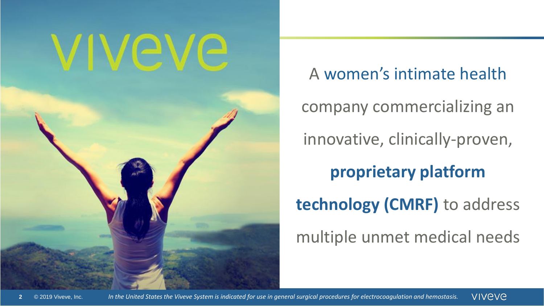## VIVEV

#### A women's intimate health

company commercializing an

innovative, clinically-proven,

**proprietary platform** 

**technology (CMRF)** to address

multiple unmet medical needs

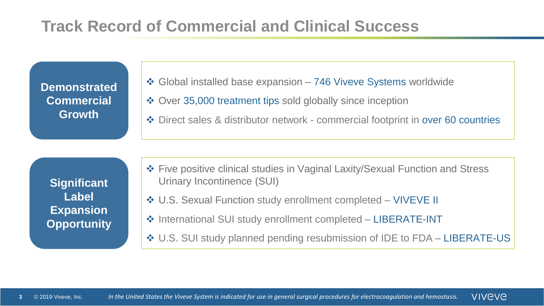#### **Track Record of Commercial and Clinical Success**

**Demonstrated Commercial Growth**

- ❖ Global installed base expansion 746 Viveve Systems worldwide
- ❖ Over 35,000 treatment tips sold globally since inception
- ❖ Direct sales & distributor network commercial footprint in over 60 countries

**Significant Label Expansion Opportunity**

- ❖ Five positive clinical studies in Vaginal Laxity/Sexual Function and Stress Urinary Incontinence (SUI)
- ❖ U.S. Sexual Function study enrollment completed VIVEVE II
- ❖ International SUI study enrollment completed LIBERATE-INT
- ❖ U.S. SUI study planned pending resubmission of IDE to FDA LIBERATE-US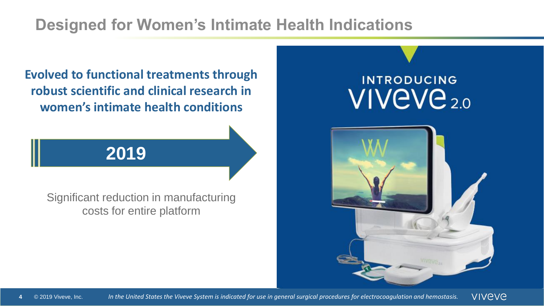#### **Designed for Women's Intimate Health Indications**

**Evolved to functional treatments through robust scientific and clinical research in women's intimate health conditions**

**2019**

Significant reduction in manufacturing costs for entire platform

#### **INTRODUCING** VIVEVE<sub>2.0</sub>



**VIVEVE 4** © 2019 Viveve, Inc. *In the United States the Viveve System is indicated for use in general surgical procedures for electrocoagulation and hemostasis.*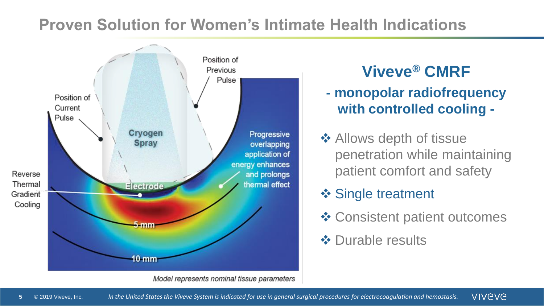#### **Proven Solution for Women's Intimate Health Indications**



#### **Viveve® CMRF**

- **- monopolar radiofrequency with controlled cooling -**
- **❖ Allows depth of tissue** penetration while maintaining patient comfort and safety

#### ❖ Single treatment

- ❖ Consistent patient outcomes
- ❖ Durable results

Model represents nominal tissue parameters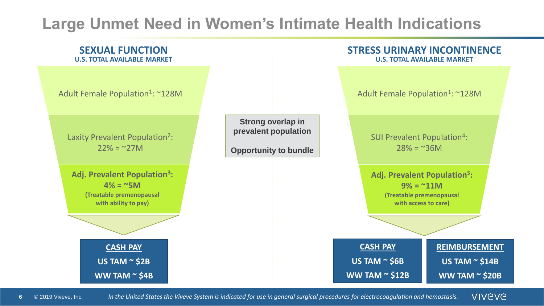#### **Large Unmet Need in Women's Intimate Health Indications**



**VIVEVE 6** © 2019 Viveve, Inc. *In the United States the Viveve System is indicated for use in general surgical procedures for electrocoagulation and hemostasis.*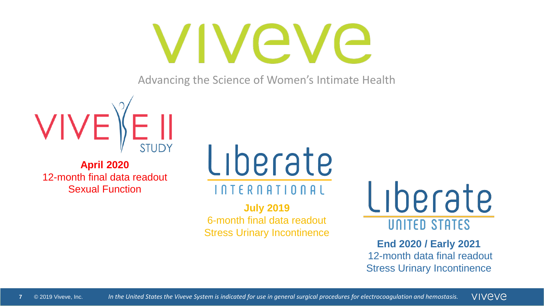### viveve

Advancing the Science of Women's Intimate Health



**April 2020** 12-month final data readout Sexual Function

Liberate

#### INTERNATIONAI

**July 2019** 6-month final data readout Stress Urinary Incontinence Liberate UNITED STATES

**End 2020 / Early 2021** 12-month data final readout Stress Urinary Incontinence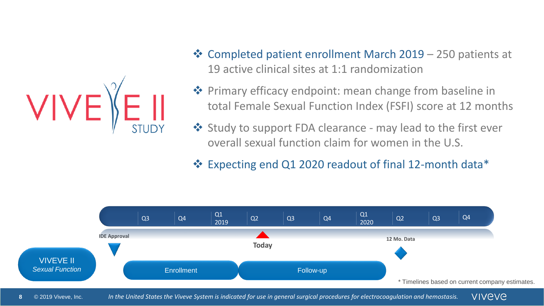

- ❖ Completed patient enrollment March 2019 250 patients at 19 active clinical sites at 1:1 randomization
- ❖ Primary efficacy endpoint: mean change from baseline in total Female Sexual Function Index (FSFI) score at 12 months
- ❖ Study to support FDA clearance may lead to the first ever overall sexual function claim for women in the U.S.

#### ❖ Expecting end Q1 2020 readout of final 12-month data\*

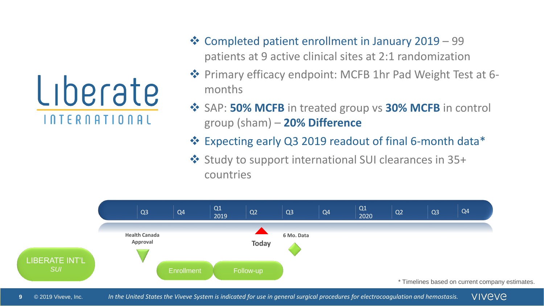

- ❖ Completed patient enrollment in January 2019 99 patients at 9 active clinical sites at 2:1 randomization
- ❖ Primary efficacy endpoint: MCFB 1hr Pad Weight Test at 6 months
- ❖ SAP: **50% MCFB** in treated group vs **30% MCFB** in control group (sham) – **20% Difference**
- ❖ Expecting early Q3 2019 readout of final 6-month data\*
- ❖ Study to support international SUI clearances in 35+ countries

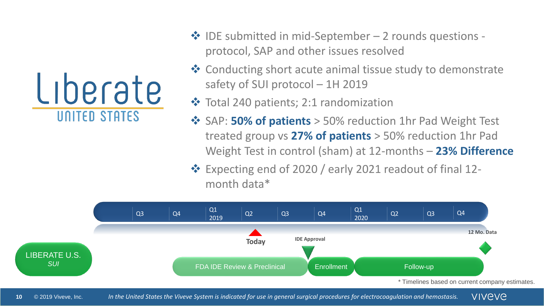

- ❖ IDE submitted in mid-September 2 rounds questions protocol, SAP and other issues resolved
- ❖ Conducting short acute animal tissue study to demonstrate safety of SUI protocol – 1H 2019
- ❖ Total 240 patients; 2:1 randomization
- ❖ SAP: **50% of patients** > 50% reduction 1hr Pad Weight Test treated group vs **27% of patients** > 50% reduction 1hr Pad Weight Test in control (sham) at 12-months – **23% Difference**
- ❖ Expecting end of 2020 / early 2021 readout of final 12 month data\*

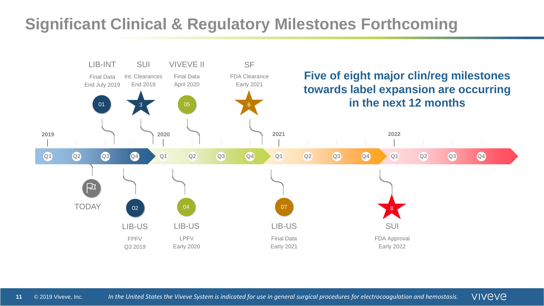#### **Significant Clinical & Regulatory Milestones Forthcoming**

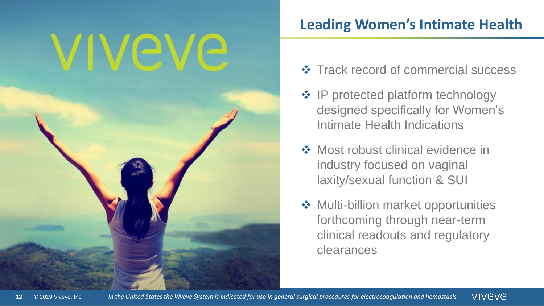# VIVAV

#### **Leading Women's Intimate Health**

- ❖ Track record of commercial success
- ❖ IP protected platform technology designed specifically for Women's Intimate Health Indications
- ❖ Most robust clinical evidence in industry focused on vaginal laxity/sexual function & SUI
- ❖ Multi-billion market opportunities forthcoming through near-term clinical readouts and regulatory clearances